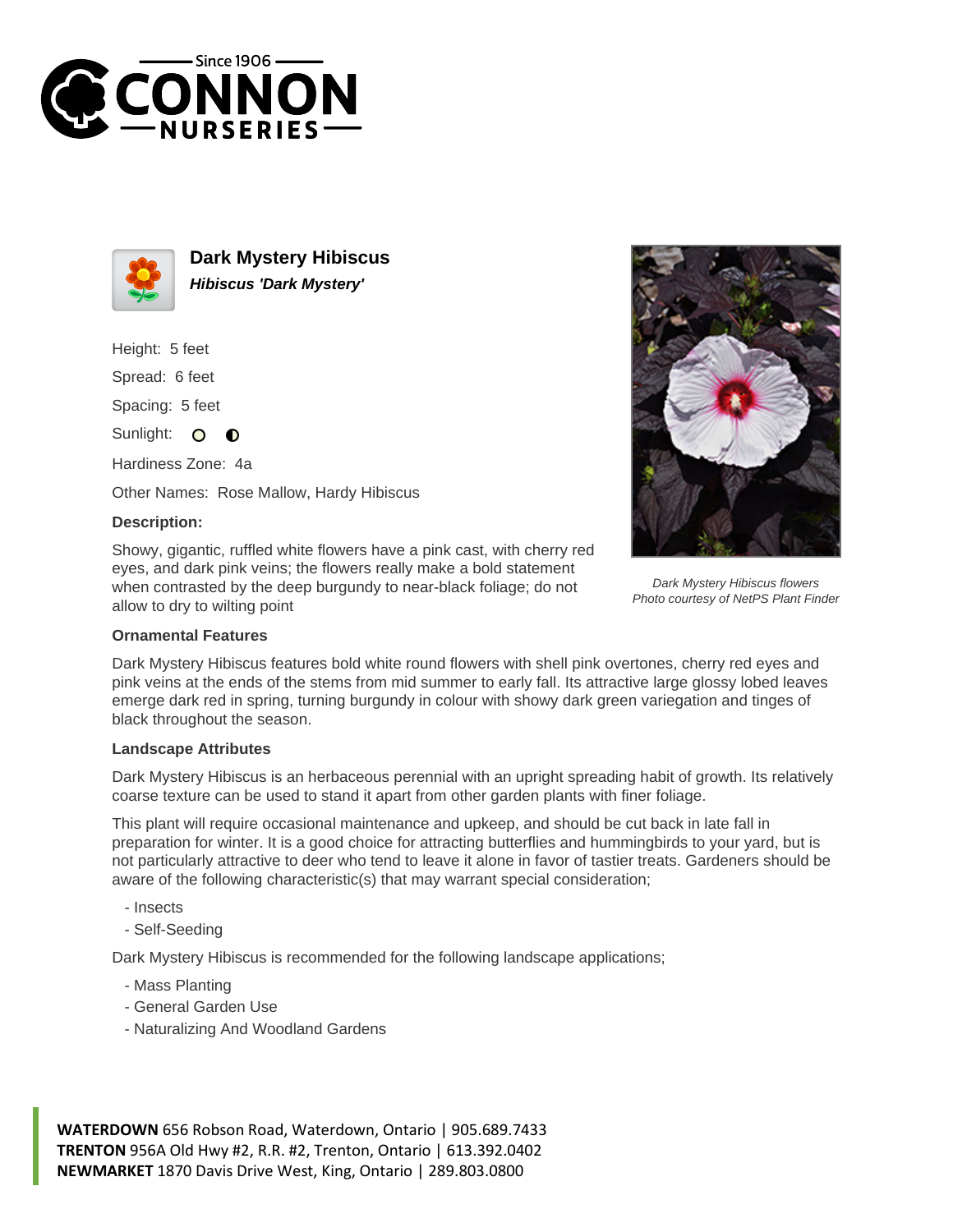



**Dark Mystery Hibiscus Hibiscus 'Dark Mystery'**

Height: 5 feet

Spread: 6 feet

Spacing: 5 feet

Sunlight: O ∩

Hardiness Zone: 4a

Other Names: Rose Mallow, Hardy Hibiscus

## **Description:**

Showy, gigantic, ruffled white flowers have a pink cast, with cherry red eyes, and dark pink veins; the flowers really make a bold statement when contrasted by the deep burgundy to near-black foliage; do not allow to dry to wilting point



Dark Mystery Hibiscus flowers Photo courtesy of NetPS Plant Finder

## **Ornamental Features**

Dark Mystery Hibiscus features bold white round flowers with shell pink overtones, cherry red eyes and pink veins at the ends of the stems from mid summer to early fall. Its attractive large glossy lobed leaves emerge dark red in spring, turning burgundy in colour with showy dark green variegation and tinges of black throughout the season.

## **Landscape Attributes**

Dark Mystery Hibiscus is an herbaceous perennial with an upright spreading habit of growth. Its relatively coarse texture can be used to stand it apart from other garden plants with finer foliage.

This plant will require occasional maintenance and upkeep, and should be cut back in late fall in preparation for winter. It is a good choice for attracting butterflies and hummingbirds to your yard, but is not particularly attractive to deer who tend to leave it alone in favor of tastier treats. Gardeners should be aware of the following characteristic(s) that may warrant special consideration;

- Insects
- Self-Seeding

Dark Mystery Hibiscus is recommended for the following landscape applications;

- Mass Planting
- General Garden Use
- Naturalizing And Woodland Gardens

**WATERDOWN** 656 Robson Road, Waterdown, Ontario | 905.689.7433 **TRENTON** 956A Old Hwy #2, R.R. #2, Trenton, Ontario | 613.392.0402 **NEWMARKET** 1870 Davis Drive West, King, Ontario | 289.803.0800